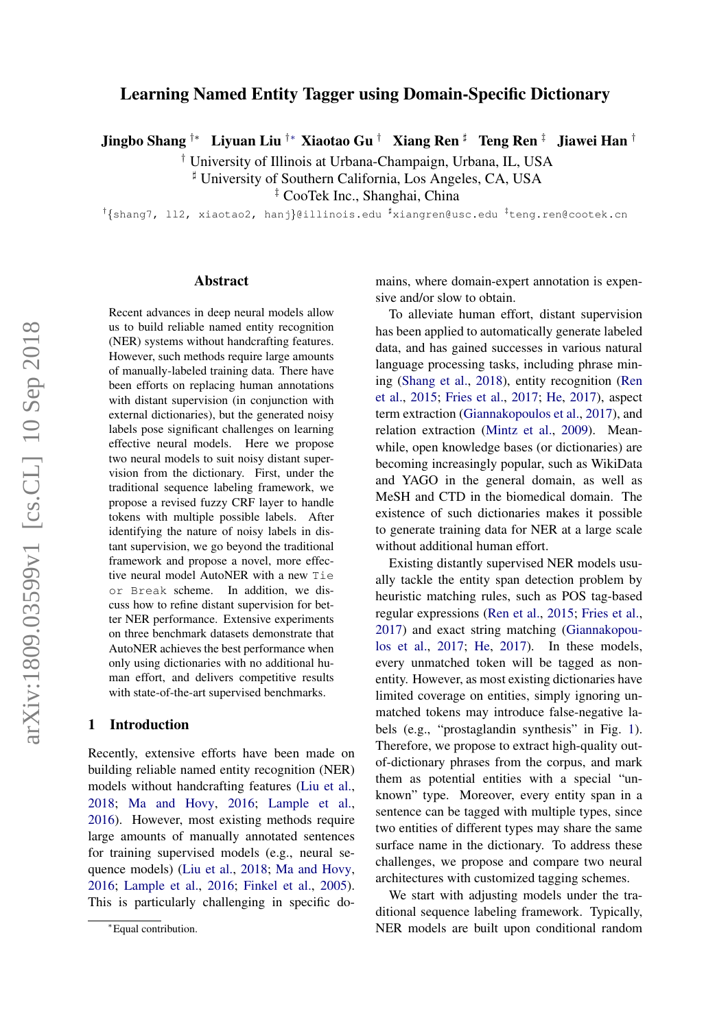# Learning Named Entity Tagger using Domain-Specific Dictionary

Jingbo Shang †\* Liyuan Liu <sup>†</sup>\* Xiaotao Gu <sup>†</sup> Xiang Ren <sup>‡</sup> Teng Ren <sup>‡</sup> Jiawei Han <sup>†</sup>

† University of Illinois at Urbana-Champaign, Urbana, IL, USA

] University of Southern California, Los Angeles, CA, USA

‡ CooTek Inc., Shanghai, China

<sup>†</sup>{shang7, 112, xiaotao2, hanj}@illinois.edu <sup>#</sup>xiangren@usc.edu <sup>#</sup>teng.ren@cootek.cn

#### Abstract

Recent advances in deep neural models allow us to build reliable named entity recognition (NER) systems without handcrafting features. However, such methods require large amounts of manually-labeled training data. There have been efforts on replacing human annotations with distant supervision (in conjunction with external dictionaries), but the generated noisy labels pose significant challenges on learning effective neural models. Here we propose two neural models to suit noisy distant supervision from the dictionary. First, under the traditional sequence labeling framework, we propose a revised fuzzy CRF layer to handle tokens with multiple possible labels. After identifying the nature of noisy labels in distant supervision, we go beyond the traditional framework and propose a novel, more effective neural model AutoNER with a new Tie or Break scheme. In addition, we discuss how to refine distant supervision for better NER performance. Extensive experiments on three benchmark datasets demonstrate that AutoNER achieves the best performance when only using dictionaries with no additional human effort, and delivers competitive results with state-of-the-art supervised benchmarks.

#### 1 Introduction

Recently, extensive efforts have been made on building reliable named entity recognition (NER) models without handcrafting features [\(Liu et al.,](#page-9-0) [2018;](#page-9-0) [Ma and Hovy,](#page-9-1) [2016;](#page-9-1) [Lample et al.,](#page-9-2) [2016\)](#page-9-2). However, most existing methods require large amounts of manually annotated sentences for training supervised models (e.g., neural sequence models) [\(Liu et al.,](#page-9-0) [2018;](#page-9-0) [Ma and Hovy,](#page-9-1) [2016;](#page-9-1) [Lample et al.,](#page-9-2) [2016;](#page-9-2) [Finkel et al.,](#page-9-3) [2005\)](#page-9-3). This is particularly challenging in specific domains, where domain-expert annotation is expensive and/or slow to obtain.

To alleviate human effort, distant supervision has been applied to automatically generate labeled data, and has gained successes in various natural language processing tasks, including phrase mining [\(Shang et al.,](#page-10-0) [2018\)](#page-10-0), entity recognition [\(Ren](#page-9-4) [et al.,](#page-9-4) [2015;](#page-9-4) [Fries et al.,](#page-9-5) [2017;](#page-9-5) [He,](#page-9-6) [2017\)](#page-9-6), aspect term extraction [\(Giannakopoulos et al.,](#page-9-7) [2017\)](#page-9-7), and relation extraction [\(Mintz et al.,](#page-9-8) [2009\)](#page-9-8). Meanwhile, open knowledge bases (or dictionaries) are becoming increasingly popular, such as WikiData and YAGO in the general domain, as well as MeSH and CTD in the biomedical domain. The existence of such dictionaries makes it possible to generate training data for NER at a large scale without additional human effort.

Existing distantly supervised NER models usually tackle the entity span detection problem by heuristic matching rules, such as POS tag-based regular expressions [\(Ren et al.,](#page-9-4) [2015;](#page-9-4) [Fries et al.,](#page-9-5) [2017\)](#page-9-5) and exact string matching [\(Giannakopou](#page-9-7)[los et al.,](#page-9-7) [2017;](#page-9-7) [He,](#page-9-6) [2017\)](#page-9-6). In these models, every unmatched token will be tagged as nonentity. However, as most existing dictionaries have limited coverage on entities, simply ignoring unmatched tokens may introduce false-negative labels (e.g., "prostaglandin synthesis" in Fig. [1\)](#page-2-0). Therefore, we propose to extract high-quality outof-dictionary phrases from the corpus, and mark them as potential entities with a special "unknown" type. Moreover, every entity span in a sentence can be tagged with multiple types, since two entities of different types may share the same surface name in the dictionary. To address these challenges, we propose and compare two neural architectures with customized tagging schemes.

We start with adjusting models under the traditional sequence labeling framework. Typically, NER models are built upon conditional random

<sup>∗</sup>Equal contribution.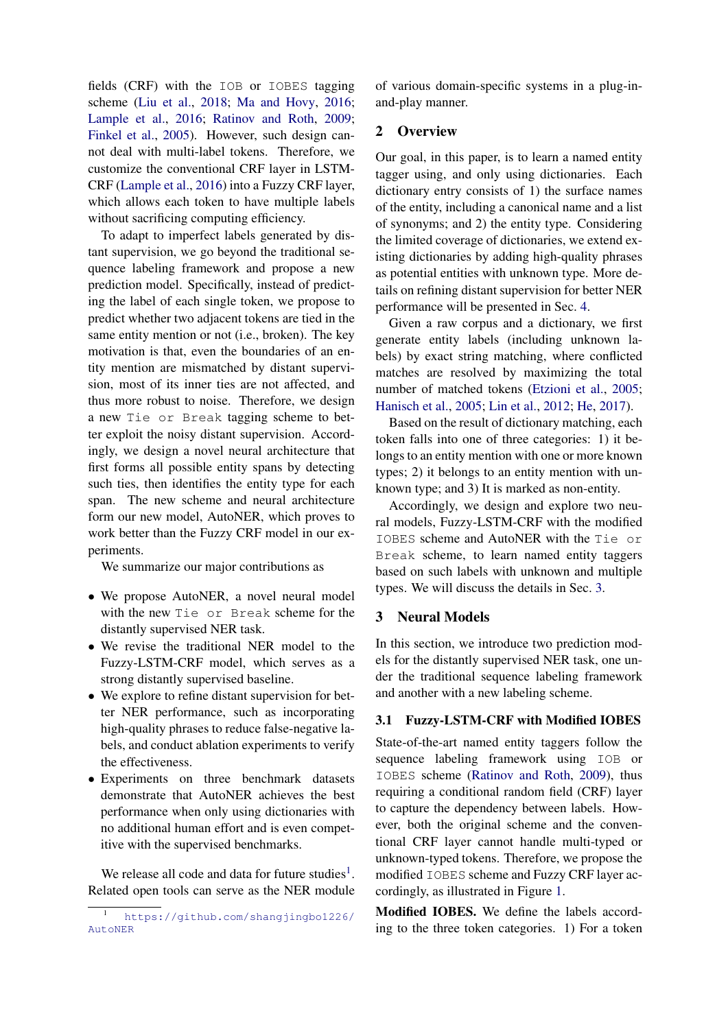fields (CRF) with the IOB or IOBES tagging scheme [\(Liu et al.,](#page-9-0) [2018;](#page-9-0) [Ma and Hovy,](#page-9-1) [2016;](#page-9-1) [Lample et al.,](#page-9-2) [2016;](#page-9-2) [Ratinov and Roth,](#page-9-9) [2009;](#page-9-9) [Finkel et al.,](#page-9-3) [2005\)](#page-9-3). However, such design cannot deal with multi-label tokens. Therefore, we customize the conventional CRF layer in LSTM-CRF [\(Lample et al.,](#page-9-2) [2016\)](#page-9-2) into a Fuzzy CRF layer, which allows each token to have multiple labels without sacrificing computing efficiency.

To adapt to imperfect labels generated by distant supervision, we go beyond the traditional sequence labeling framework and propose a new prediction model. Specifically, instead of predicting the label of each single token, we propose to predict whether two adjacent tokens are tied in the same entity mention or not (i.e., broken). The key motivation is that, even the boundaries of an entity mention are mismatched by distant supervision, most of its inner ties are not affected, and thus more robust to noise. Therefore, we design a new Tie or Break tagging scheme to better exploit the noisy distant supervision. Accordingly, we design a novel neural architecture that first forms all possible entity spans by detecting such ties, then identifies the entity type for each span. The new scheme and neural architecture form our new model, AutoNER, which proves to work better than the Fuzzy CRF model in our experiments.

We summarize our major contributions as

- We propose AutoNER, a novel neural model with the new Tie or Break scheme for the distantly supervised NER task.
- We revise the traditional NER model to the Fuzzy-LSTM-CRF model, which serves as a strong distantly supervised baseline.
- We explore to refine distant supervision for better NER performance, such as incorporating high-quality phrases to reduce false-negative labels, and conduct ablation experiments to verify the effectiveness.
- Experiments on three benchmark datasets demonstrate that AutoNER achieves the best performance when only using dictionaries with no additional human effort and is even competitive with the supervised benchmarks.

We release all code and data for future studies<sup>[1](#page-1-0)</sup>. Related open tools can serve as the NER module

of various domain-specific systems in a plug-inand-play manner.

# 2 Overview

Our goal, in this paper, is to learn a named entity tagger using, and only using dictionaries. Each dictionary entry consists of 1) the surface names of the entity, including a canonical name and a list of synonyms; and 2) the entity type. Considering the limited coverage of dictionaries, we extend existing dictionaries by adding high-quality phrases as potential entities with unknown type. More details on refining distant supervision for better NER performance will be presented in Sec. [4.](#page-4-0)

Given a raw corpus and a dictionary, we first generate entity labels (including unknown labels) by exact string matching, where conflicted matches are resolved by maximizing the total number of matched tokens [\(Etzioni et al.,](#page-9-10) [2005;](#page-9-10) [Hanisch et al.,](#page-9-11) [2005;](#page-9-11) [Lin et al.,](#page-9-12) [2012;](#page-9-12) [He,](#page-9-6) [2017\)](#page-9-6).

Based on the result of dictionary matching, each token falls into one of three categories: 1) it belongs to an entity mention with one or more known types; 2) it belongs to an entity mention with unknown type; and 3) It is marked as non-entity.

Accordingly, we design and explore two neural models, Fuzzy-LSTM-CRF with the modified IOBES scheme and AutoNER with the Tie or Break scheme, to learn named entity taggers based on such labels with unknown and multiple types. We will discuss the details in Sec. [3.](#page-1-1)

## <span id="page-1-1"></span>3 Neural Models

In this section, we introduce two prediction models for the distantly supervised NER task, one under the traditional sequence labeling framework and another with a new labeling scheme.

## 3.1 Fuzzy-LSTM-CRF with Modified IOBES

State-of-the-art named entity taggers follow the sequence labeling framework using IOB or IOBES scheme [\(Ratinov and Roth,](#page-9-9) [2009\)](#page-9-9), thus requiring a conditional random field (CRF) layer to capture the dependency between labels. However, both the original scheme and the conventional CRF layer cannot handle multi-typed or unknown-typed tokens. Therefore, we propose the modified IOBES scheme and Fuzzy CRF layer accordingly, as illustrated in Figure [1.](#page-2-0)

Modified IOBES. We define the labels according to the three token categories. 1) For a token

<span id="page-1-0"></span><sup>1</sup> [https://github.com/shangjingbo1226/](https://github.com/shangjingbo1226/AutoNER) [AutoNER](https://github.com/shangjingbo1226/AutoNER)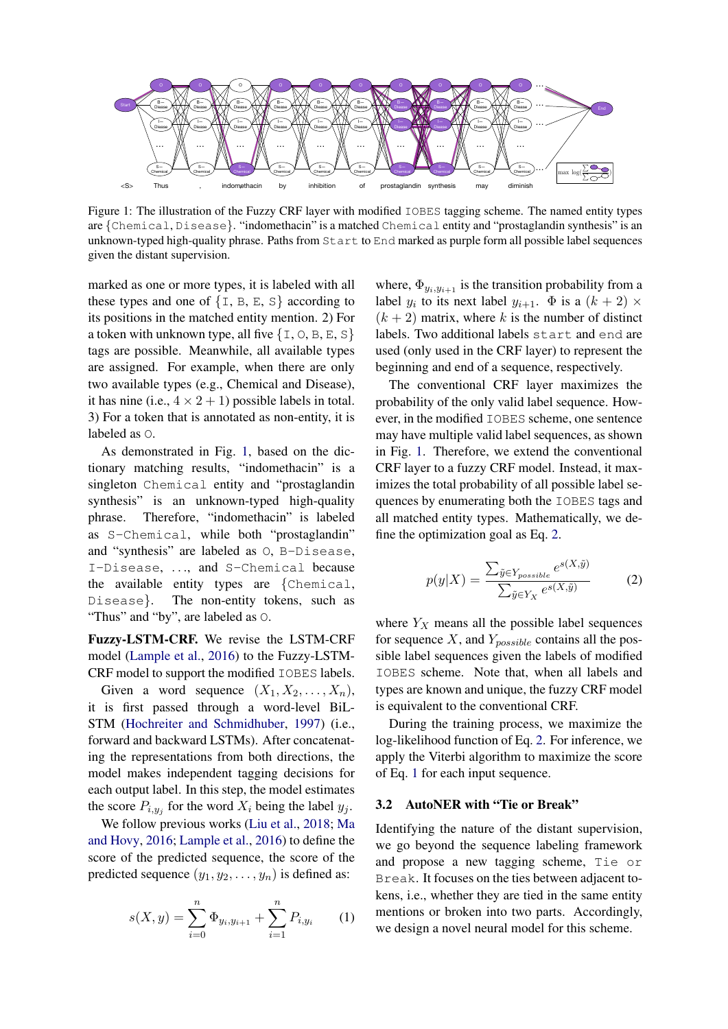

<span id="page-2-0"></span>Figure 1: The illustration of the Fuzzy CRF layer with modified IOBES tagging scheme. The named entity types are {Chemical, Disease}. "indomethacin" is a matched Chemical entity and "prostaglandin synthesis" is an unknown-typed high-quality phrase. Paths from Start to End marked as purple form all possible label sequences given the distant supervision.

marked as one or more types, it is labeled with all these types and one of  $\{I, B, E, S\}$  according to its positions in the matched entity mention. 2) For a token with unknown type, all five  $\{I, O, B, E, S\}$ tags are possible. Meanwhile, all available types are assigned. For example, when there are only two available types (e.g., Chemical and Disease), it has nine (i.e.,  $4 \times 2 + 1$ ) possible labels in total. 3) For a token that is annotated as non-entity, it is labeled as O.

As demonstrated in Fig. [1,](#page-2-0) based on the dictionary matching results, "indomethacin" is a singleton Chemical entity and "prostaglandin synthesis" is an unknown-typed high-quality phrase. Therefore, "indomethacin" is labeled as S-Chemical, while both "prostaglandin" and "synthesis" are labeled as O, B-Disease, I-Disease, ..., and S-Chemical because the available entity types are {Chemical, Disease}. The non-entity tokens, such as "Thus" and "by", are labeled as O.

Fuzzy-LSTM-CRF. We revise the LSTM-CRF model [\(Lample et al.,](#page-9-2) [2016\)](#page-9-2) to the Fuzzy-LSTM-CRF model to support the modified IOBES labels.

Given a word sequence  $(X_1, X_2, \ldots, X_n)$ , it is first passed through a word-level BiL-STM [\(Hochreiter and Schmidhuber,](#page-9-13) [1997\)](#page-9-13) (i.e., forward and backward LSTMs). After concatenating the representations from both directions, the model makes independent tagging decisions for each output label. In this step, the model estimates the score  $P_{i,y_j}$  for the word  $X_i$  being the label  $y_j$ .

We follow previous works [\(Liu et al.,](#page-9-0) [2018;](#page-9-0) [Ma](#page-9-1) [and Hovy,](#page-9-1) [2016;](#page-9-1) [Lample et al.,](#page-9-2) [2016\)](#page-9-2) to define the score of the predicted sequence, the score of the predicted sequence  $(y_1, y_2, \ldots, y_n)$  is defined as:

$$
s(X, y) = \sum_{i=0}^{n} \Phi_{y_i, y_{i+1}} + \sum_{i=1}^{n} P_{i, y_i}
$$
 (1)

where,  $\Phi_{y_i,y_{i+1}}$  is the transition probability from a label  $y_i$  to its next label  $y_{i+1}$ .  $\Phi$  is a  $(k+2) \times$  $(k + 2)$  matrix, where k is the number of distinct labels. Two additional labels start and end are used (only used in the CRF layer) to represent the beginning and end of a sequence, respectively.

The conventional CRF layer maximizes the probability of the only valid label sequence. However, in the modified IOBES scheme, one sentence may have multiple valid label sequences, as shown in Fig. [1.](#page-2-0) Therefore, we extend the conventional CRF layer to a fuzzy CRF model. Instead, it maximizes the total probability of all possible label sequences by enumerating both the IOBES tags and all matched entity types. Mathematically, we define the optimization goal as Eq. [2.](#page-2-1)

<span id="page-2-1"></span>
$$
p(y|X) = \frac{\sum_{\tilde{y} \in Y_{possible}} e^{s(X, \tilde{y})}}{\sum_{\tilde{y} \in Y_X} e^{s(X, \tilde{y})}}
$$
(2)

where  $Y_X$  means all the possible label sequences for sequence  $X$ , and  $Y_{possible}$  contains all the possible label sequences given the labels of modified IOBES scheme. Note that, when all labels and types are known and unique, the fuzzy CRF model is equivalent to the conventional CRF.

During the training process, we maximize the log-likelihood function of Eq. [2.](#page-2-1) For inference, we apply the Viterbi algorithm to maximize the score of Eq. [1](#page-2-2) for each input sequence.

### 3.2 AutoNER with "Tie or Break"

<span id="page-2-2"></span>Identifying the nature of the distant supervision, we go beyond the sequence labeling framework and propose a new tagging scheme, Tie or Break. It focuses on the ties between adjacent tokens, i.e., whether they are tied in the same entity mentions or broken into two parts. Accordingly, we design a novel neural model for this scheme.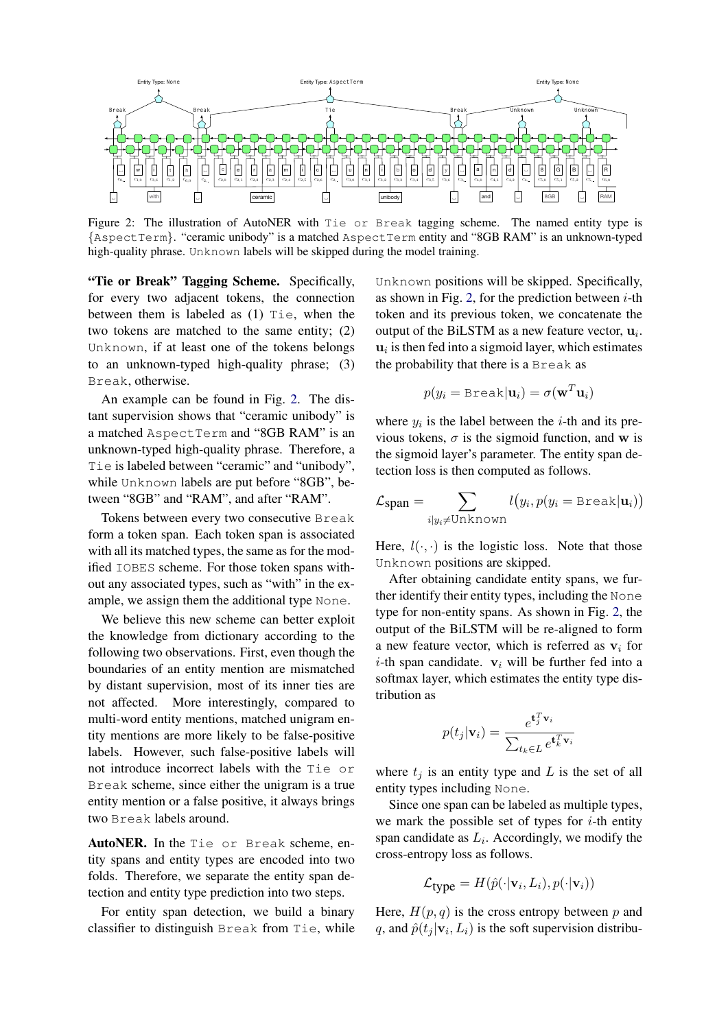

<span id="page-3-0"></span>Figure 2: The illustration of AutoNER with Tie or Break tagging scheme. The named entity type is {AspectTerm}. "ceramic unibody" is a matched AspectTerm entity and "8GB RAM" is an unknown-typed high-quality phrase. Unknown labels will be skipped during the model training.

"Tie or Break" Tagging Scheme. Specifically, for every two adjacent tokens, the connection between them is labeled as (1) Tie, when the two tokens are matched to the same entity; (2) Unknown, if at least one of the tokens belongs to an unknown-typed high-quality phrase; (3) Break, otherwise.

An example can be found in Fig. [2.](#page-3-0) The distant supervision shows that "ceramic unibody" is a matched AspectTerm and "8GB RAM" is an unknown-typed high-quality phrase. Therefore, a Tie is labeled between "ceramic" and "unibody", while Unknown labels are put before "8GB", between "8GB" and "RAM", and after "RAM".

Tokens between every two consecutive Break form a token span. Each token span is associated with all its matched types, the same as for the modified IOBES scheme. For those token spans without any associated types, such as "with" in the example, we assign them the additional type None.

We believe this new scheme can better exploit the knowledge from dictionary according to the following two observations. First, even though the boundaries of an entity mention are mismatched by distant supervision, most of its inner ties are not affected. More interestingly, compared to multi-word entity mentions, matched unigram entity mentions are more likely to be false-positive labels. However, such false-positive labels will not introduce incorrect labels with the Tie or Break scheme, since either the unigram is a true entity mention or a false positive, it always brings two Break labels around.

AutoNER. In the Tie or Break scheme, entity spans and entity types are encoded into two folds. Therefore, we separate the entity span detection and entity type prediction into two steps.

For entity span detection, we build a binary classifier to distinguish Break from Tie, while Unknown positions will be skipped. Specifically, as shown in Fig. [2,](#page-3-0) for the prediction between  $i$ -th token and its previous token, we concatenate the output of the BiLSTM as a new feature vector,  $\mathbf{u}_i$ .  $u_i$  is then fed into a sigmoid layer, which estimates the probability that there is a Break as

$$
p(y_i = \text{Break}|\mathbf{u}_i) = \sigma(\mathbf{w}^T \mathbf{u}_i)
$$

where  $y_i$  is the label between the *i*-th and its previous tokens,  $\sigma$  is the sigmoid function, and w is the sigmoid layer's parameter. The entity span detection loss is then computed as follows.

$$
\mathcal{L}_{\text{span}} = \sum_{i|y_i \neq \text{Unknown}} l(y_i, p(y_i = \text{Break}|\mathbf{u}_i))
$$

Here,  $l(\cdot, \cdot)$  is the logistic loss. Note that those Unknown positions are skipped.

After obtaining candidate entity spans, we further identify their entity types, including the None type for non-entity spans. As shown in Fig. [2,](#page-3-0) the output of the BiLSTM will be re-aligned to form a new feature vector, which is referred as  $v_i$  for *i*-th span candidate.  $v_i$  will be further fed into a softmax layer, which estimates the entity type distribution as

$$
p(t_j|\mathbf{v}_i) = \frac{e^{\mathbf{t}_j^T \mathbf{v}_i}}{\sum_{t_k \in L} e^{\mathbf{t}_k^T \mathbf{v}_i}}
$$

where  $t_i$  is an entity type and L is the set of all entity types including None.

Since one span can be labeled as multiple types, we mark the possible set of types for  $i$ -th entity span candidate as  $L_i$ . Accordingly, we modify the cross-entropy loss as follows.

$$
\mathcal{L}_{\text{type}} = H(\hat{p}(\cdot | \mathbf{v}_i, L_i), p(\cdot | \mathbf{v}_i))
$$

Here,  $H(p,q)$  is the cross entropy between p and q, and  $\hat{p}(t_j | \mathbf{v}_i, L_i)$  is the soft supervision distribu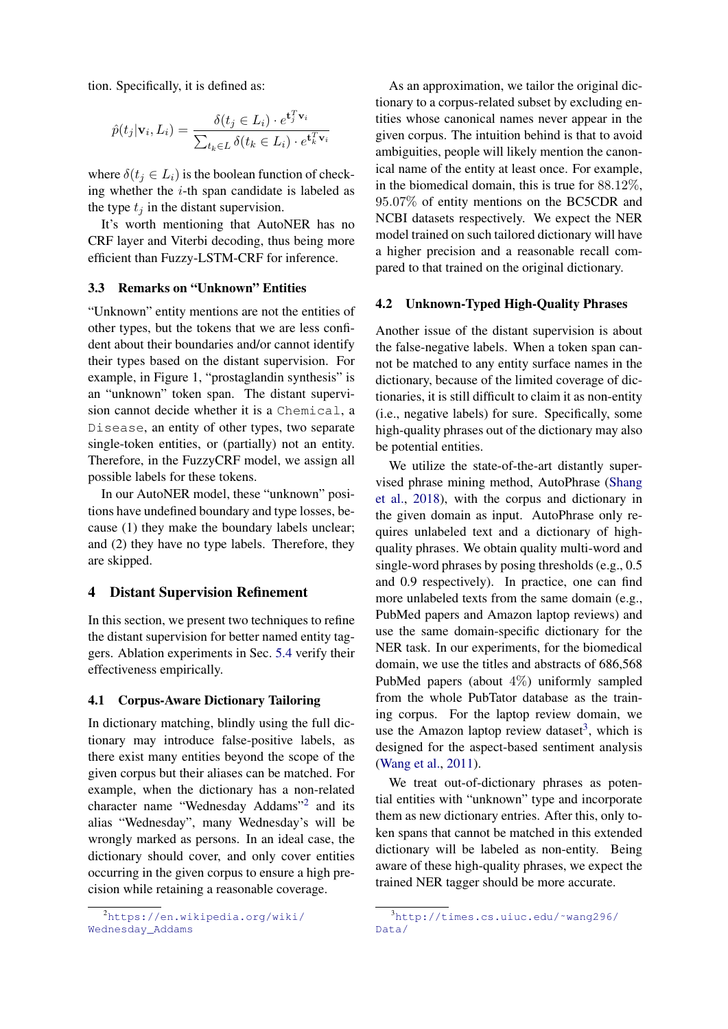tion. Specifically, it is defined as:

$$
\hat{p}(t_j|\mathbf{v}_i, L_i) = \frac{\delta(t_j \in L_i) \cdot e^{\mathbf{t}_j^T \mathbf{v}_i}}{\sum_{t_k \in L} \delta(t_k \in L_i) \cdot e^{\mathbf{t}_k^T \mathbf{v}_i}}
$$

where  $\delta(t_i \in L_i)$  is the boolean function of checking whether the  $i$ -th span candidate is labeled as the type  $t_i$  in the distant supervision.

It's worth mentioning that AutoNER has no CRF layer and Viterbi decoding, thus being more efficient than Fuzzy-LSTM-CRF for inference.

## 3.3 Remarks on "Unknown" Entities

"Unknown" entity mentions are not the entities of other types, but the tokens that we are less confident about their boundaries and/or cannot identify their types based on the distant supervision. For example, in Figure 1, "prostaglandin synthesis" is an "unknown" token span. The distant supervision cannot decide whether it is a Chemical, a Disease, an entity of other types, two separate single-token entities, or (partially) not an entity. Therefore, in the FuzzyCRF model, we assign all possible labels for these tokens.

In our AutoNER model, these "unknown" positions have undefined boundary and type losses, because (1) they make the boundary labels unclear; and (2) they have no type labels. Therefore, they are skipped.

#### <span id="page-4-0"></span>4 Distant Supervision Refinement

In this section, we present two techniques to refine the distant supervision for better named entity taggers. Ablation experiments in Sec. [5.4](#page-6-0) verify their effectiveness empirically.

## 4.1 Corpus-Aware Dictionary Tailoring

In dictionary matching, blindly using the full dictionary may introduce false-positive labels, as there exist many entities beyond the scope of the given corpus but their aliases can be matched. For example, when the dictionary has a non-related character name "Wednesday Addams"<sup>[2](#page-4-1)</sup> and its alias "Wednesday", many Wednesday's will be wrongly marked as persons. In an ideal case, the dictionary should cover, and only cover entities occurring in the given corpus to ensure a high precision while retaining a reasonable coverage.

As an approximation, we tailor the original dictionary to a corpus-related subset by excluding entities whose canonical names never appear in the given corpus. The intuition behind is that to avoid ambiguities, people will likely mention the canonical name of the entity at least once. For example, in the biomedical domain, this is true for 88.12%, 95.07% of entity mentions on the BC5CDR and NCBI datasets respectively. We expect the NER model trained on such tailored dictionary will have a higher precision and a reasonable recall compared to that trained on the original dictionary.

#### 4.2 Unknown-Typed High-Quality Phrases

Another issue of the distant supervision is about the false-negative labels. When a token span cannot be matched to any entity surface names in the dictionary, because of the limited coverage of dictionaries, it is still difficult to claim it as non-entity (i.e., negative labels) for sure. Specifically, some high-quality phrases out of the dictionary may also be potential entities.

We utilize the state-of-the-art distantly supervised phrase mining method, AutoPhrase [\(Shang](#page-10-0) [et al.,](#page-10-0) [2018\)](#page-10-0), with the corpus and dictionary in the given domain as input. AutoPhrase only requires unlabeled text and a dictionary of highquality phrases. We obtain quality multi-word and single-word phrases by posing thresholds (e.g., 0.5 and 0.9 respectively). In practice, one can find more unlabeled texts from the same domain (e.g., PubMed papers and Amazon laptop reviews) and use the same domain-specific dictionary for the NER task. In our experiments, for the biomedical domain, we use the titles and abstracts of 686,568 PubMed papers (about 4%) uniformly sampled from the whole PubTator database as the training corpus. For the laptop review domain, we use the Amazon laptop review dataset<sup>[3](#page-4-2)</sup>, which is designed for the aspect-based sentiment analysis [\(Wang et al.,](#page-10-1) [2011\)](#page-10-1).

We treat out-of-dictionary phrases as potential entities with "unknown" type and incorporate them as new dictionary entries. After this, only token spans that cannot be matched in this extended dictionary will be labeled as non-entity. Being aware of these high-quality phrases, we expect the trained NER tagger should be more accurate.

<span id="page-4-1"></span><sup>2</sup>[https://en.wikipedia.org/wiki/](https://en.wikipedia.org/wiki/Wednesday_Addams) [Wednesday\\_Addams](https://en.wikipedia.org/wiki/Wednesday_Addams)

<span id="page-4-2"></span> $3$ http://times.cs.uiuc.edu/~wang296/ [Data/](http://times.cs.uiuc.edu/~wang296/Data/)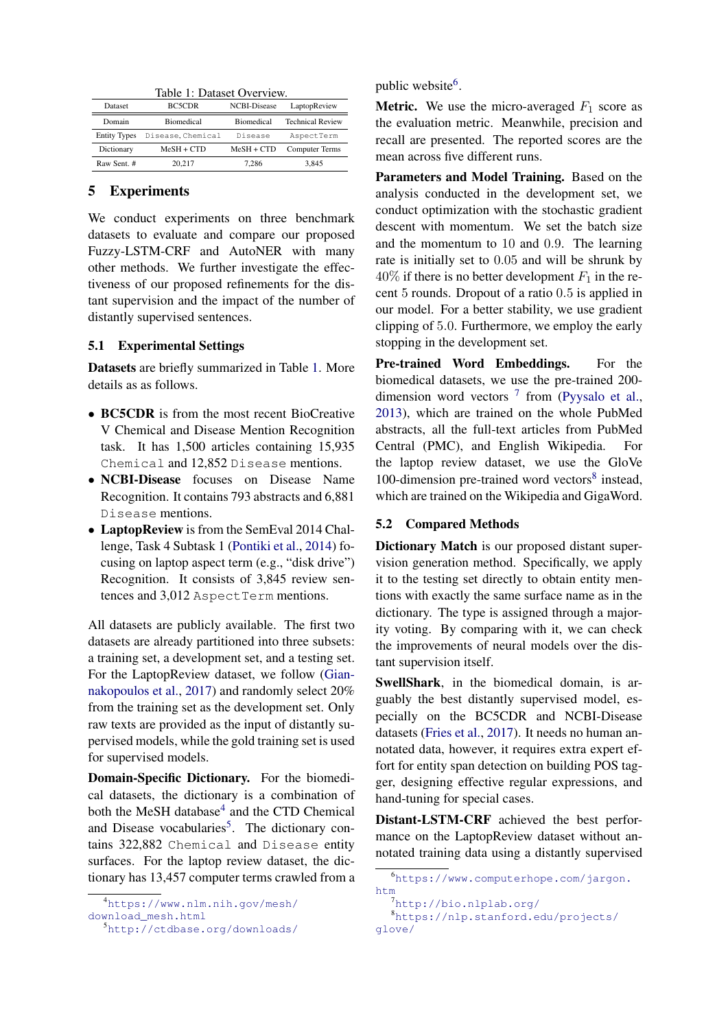<span id="page-5-0"></span>Table 1: Dataset Overview.

| Dataset             | BC5CDR            | NCBI-Disease      | LaptopReview            |
|---------------------|-------------------|-------------------|-------------------------|
| Domain              | <b>Biomedical</b> | <b>Biomedical</b> | <b>Technical Review</b> |
| <b>Entity Types</b> | Disease, Chemical | Disease           | AspectTerm              |
| Dictionary          | $MeSH + CTD$      | $MeSH + CTD$      | <b>Computer Terms</b>   |
| Raw Sent. #         | 20.217            | 7.286             | 3,845                   |

## 5 Experiments

We conduct experiments on three benchmark datasets to evaluate and compare our proposed Fuzzy-LSTM-CRF and AutoNER with many other methods. We further investigate the effectiveness of our proposed refinements for the distant supervision and the impact of the number of distantly supervised sentences.

## 5.1 Experimental Settings

Datasets are briefly summarized in Table [1.](#page-5-0) More details as as follows.

- BC5CDR is from the most recent BioCreative V Chemical and Disease Mention Recognition task. It has 1,500 articles containing 15,935 Chemical and 12,852 Disease mentions.
- NCBI-Disease focuses on Disease Name Recognition. It contains 793 abstracts and 6,881 Disease mentions.
- LaptopReview is from the SemEval 2014 Challenge, Task 4 Subtask 1 [\(Pontiki et al.,](#page-9-14) [2014\)](#page-9-14) focusing on laptop aspect term (e.g., "disk drive") Recognition. It consists of 3,845 review sentences and 3,012 Aspect Term mentions.

All datasets are publicly available. The first two datasets are already partitioned into three subsets: a training set, a development set, and a testing set. For the LaptopReview dataset, we follow [\(Gian](#page-9-7)[nakopoulos et al.,](#page-9-7) [2017\)](#page-9-7) and randomly select 20% from the training set as the development set. Only raw texts are provided as the input of distantly supervised models, while the gold training set is used for supervised models.

Domain-Specific Dictionary. For the biomedical datasets, the dictionary is a combination of both the MeSH database<sup>[4](#page-5-1)</sup> and the CTD Chemical and Disease vocabularies<sup>[5](#page-5-2)</sup>. The dictionary contains 322,882 Chemical and Disease entity surfaces. For the laptop review dataset, the dictionary has 13,457 computer terms crawled from a

public website<sup>[6](#page-5-3)</sup>.

**Metric.** We use the micro-averaged  $F_1$  score as the evaluation metric. Meanwhile, precision and recall are presented. The reported scores are the mean across five different runs.

Parameters and Model Training. Based on the analysis conducted in the development set, we conduct optimization with the stochastic gradient descent with momentum. We set the batch size and the momentum to 10 and 0.9. The learning rate is initially set to 0.05 and will be shrunk by  $40\%$  if there is no better development  $F_1$  in the recent 5 rounds. Dropout of a ratio 0.5 is applied in our model. For a better stability, we use gradient clipping of 5.0. Furthermore, we employ the early stopping in the development set.

Pre-trained Word Embeddings. For the biomedical datasets, we use the pre-trained 200 dimension word vectors  $7$  from [\(Pyysalo et al.,](#page-9-15) [2013\)](#page-9-15), which are trained on the whole PubMed abstracts, all the full-text articles from PubMed Central (PMC), and English Wikipedia. For the laptop review dataset, we use the GloVe 100-dimension pre-trained word vectors<sup>[8](#page-5-5)</sup> instead, which are trained on the Wikipedia and GigaWord.

#### 5.2 Compared Methods

Dictionary Match is our proposed distant supervision generation method. Specifically, we apply it to the testing set directly to obtain entity mentions with exactly the same surface name as in the dictionary. The type is assigned through a majority voting. By comparing with it, we can check the improvements of neural models over the distant supervision itself.

SwellShark, in the biomedical domain, is arguably the best distantly supervised model, especially on the BC5CDR and NCBI-Disease datasets [\(Fries et al.,](#page-9-5) [2017\)](#page-9-5). It needs no human annotated data, however, it requires extra expert effort for entity span detection on building POS tagger, designing effective regular expressions, and hand-tuning for special cases.

Distant-LSTM-CRF achieved the best performance on the LaptopReview dataset without annotated training data using a distantly supervised

<span id="page-5-1"></span><sup>4</sup>[https://www.nlm.nih.gov/mesh/](https://www.nlm.nih.gov/mesh/download_mesh.html) [download\\_mesh.html](https://www.nlm.nih.gov/mesh/download_mesh.html)

<span id="page-5-2"></span><sup>5</sup><http://ctdbase.org/downloads/>

<span id="page-5-3"></span><sup>6</sup>[https://www.computerhope.com/jargon.](https://www.computerhope.com/jargon.htm) [htm](https://www.computerhope.com/jargon.htm)

<span id="page-5-5"></span><span id="page-5-4"></span><sup>7</sup><http://bio.nlplab.org/>

<sup>8</sup>[https://nlp.stanford.edu/projects/](https://nlp.stanford.edu/projects/glove/) [glove/](https://nlp.stanford.edu/projects/glove/)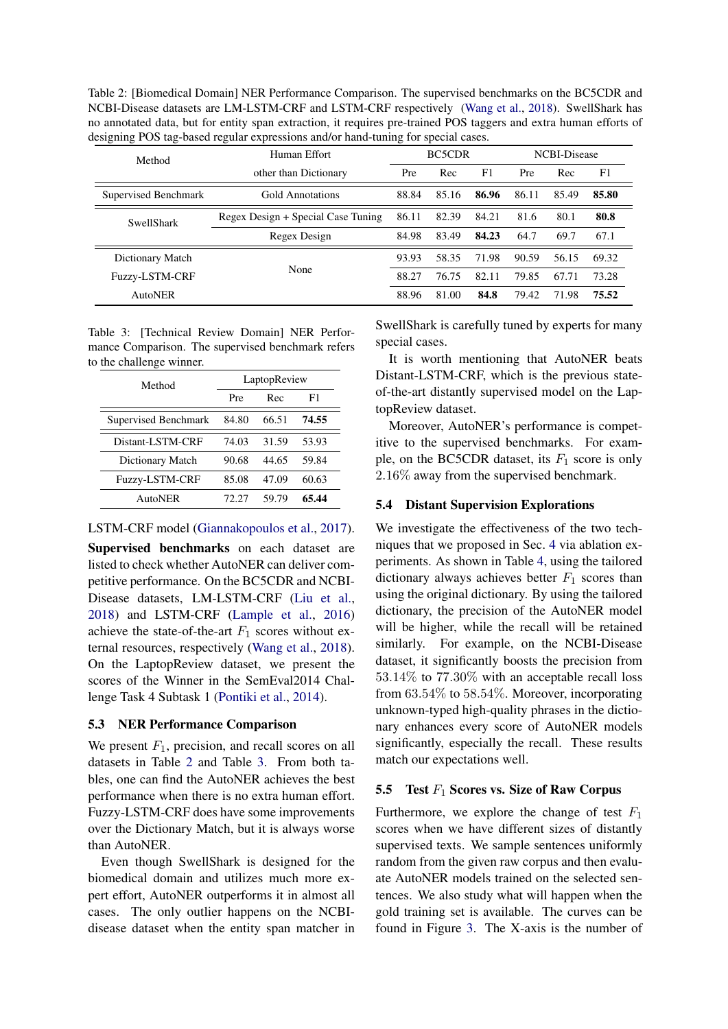<span id="page-6-1"></span>Table 2: [Biomedical Domain] NER Performance Comparison. The supervised benchmarks on the BC5CDR and NCBI-Disease datasets are LM-LSTM-CRF and LSTM-CRF respectively [\(Wang et al.,](#page-10-2) [2018\)](#page-10-2). SwellShark has no annotated data, but for entity span extraction, it requires pre-trained POS taggers and extra human efforts of designing POS tag-based regular expressions and/or hand-tuning for special cases.

| Method               | Human Effort                       | BC5CDR<br>F1<br>Rec<br>Pre |       | <b>NCBI-Disease</b> |       |       |       |
|----------------------|------------------------------------|----------------------------|-------|---------------------|-------|-------|-------|
|                      | other than Dictionary              |                            |       | Pre                 | Rec   | F1    |       |
| Supervised Benchmark | Gold Annotations                   | 88.84                      | 85.16 | 86.96               | 86.11 | 85.49 | 85.80 |
| <b>SwellShark</b>    | Regex Design + Special Case Tuning | 86.11                      | 82.39 | 84.21               | 81.6  | 80.1  | 80.8  |
|                      | Regex Design                       | 84.98                      | 83.49 | 84.23               | 64.7  | 69.7  | 67.1  |
| Dictionary Match     |                                    | 93.93                      | 58.35 | 71.98               | 90.59 | 56.15 | 69.32 |
| Fuzzy-LSTM-CRF       | None                               | 88.27                      | 76.75 | 82.11               | 79.85 | 67.71 | 73.28 |
| AutoNER              |                                    | 88.96                      | 81.00 | 84.8                | 79.42 | 71.98 | 75.52 |

<span id="page-6-2"></span>Table 3: [Technical Review Domain] NER Performance Comparison. The supervised benchmark refers to the challenge winner.

| Method               | LaptopReview |       |       |  |  |  |
|----------------------|--------------|-------|-------|--|--|--|
|                      | Pre          | Rec   | F1    |  |  |  |
| Supervised Benchmark | 84.80        | 66.51 | 74.55 |  |  |  |
| Distant-LSTM-CRF     | 74.03        | 31.59 | 53.93 |  |  |  |
| Dictionary Match     | 90.68        | 44.65 | 59.84 |  |  |  |
| Fuzzy-LSTM-CRF       | 85.08        | 47.09 | 60.63 |  |  |  |
| AutoNER              | 72.27        | 59.79 | 65.44 |  |  |  |

## LSTM-CRF model [\(Giannakopoulos et al.,](#page-9-7) [2017\)](#page-9-7).

Supervised benchmarks on each dataset are listed to check whether AutoNER can deliver competitive performance. On the BC5CDR and NCBI-Disease datasets, LM-LSTM-CRF [\(Liu et al.,](#page-9-0) [2018\)](#page-9-0) and LSTM-CRF [\(Lample et al.,](#page-9-2) [2016\)](#page-9-2) achieve the state-of-the-art  $F_1$  scores without external resources, respectively [\(Wang et al.,](#page-10-2) [2018\)](#page-10-2). On the LaptopReview dataset, we present the scores of the Winner in the SemEval2014 Challenge Task 4 Subtask 1 [\(Pontiki et al.,](#page-9-14) [2014\)](#page-9-14).

# 5.3 NER Performance Comparison

We present  $F_1$ , precision, and recall scores on all datasets in Table [2](#page-6-1) and Table [3.](#page-6-2) From both tables, one can find the AutoNER achieves the best performance when there is no extra human effort. Fuzzy-LSTM-CRF does have some improvements over the Dictionary Match, but it is always worse than AutoNER.

Even though SwellShark is designed for the biomedical domain and utilizes much more expert effort, AutoNER outperforms it in almost all cases. The only outlier happens on the NCBIdisease dataset when the entity span matcher in

SwellShark is carefully tuned by experts for many special cases.

It is worth mentioning that AutoNER beats Distant-LSTM-CRF, which is the previous stateof-the-art distantly supervised model on the LaptopReview dataset.

Moreover, AutoNER's performance is competitive to the supervised benchmarks. For example, on the BC5CDR dataset, its  $F_1$  score is only 2.16% away from the supervised benchmark.

# <span id="page-6-0"></span>5.4 Distant Supervision Explorations

We investigate the effectiveness of the two techniques that we proposed in Sec. [4](#page-4-0) via ablation experiments. As shown in Table [4,](#page-7-0) using the tailored dictionary always achieves better  $F_1$  scores than using the original dictionary. By using the tailored dictionary, the precision of the AutoNER model will be higher, while the recall will be retained similarly. For example, on the NCBI-Disease dataset, it significantly boosts the precision from 53.14% to 77.30% with an acceptable recall loss from 63.54% to 58.54%. Moreover, incorporating unknown-typed high-quality phrases in the dictionary enhances every score of AutoNER models significantly, especially the recall. These results match our expectations well.

# 5.5 Test  $F_1$  Scores vs. Size of Raw Corpus

Furthermore, we explore the change of test  $F_1$ scores when we have different sizes of distantly supervised texts. We sample sentences uniformly random from the given raw corpus and then evaluate AutoNER models trained on the selected sentences. We also study what will happen when the gold training set is available. The curves can be found in Figure [3.](#page-7-1) The X-axis is the number of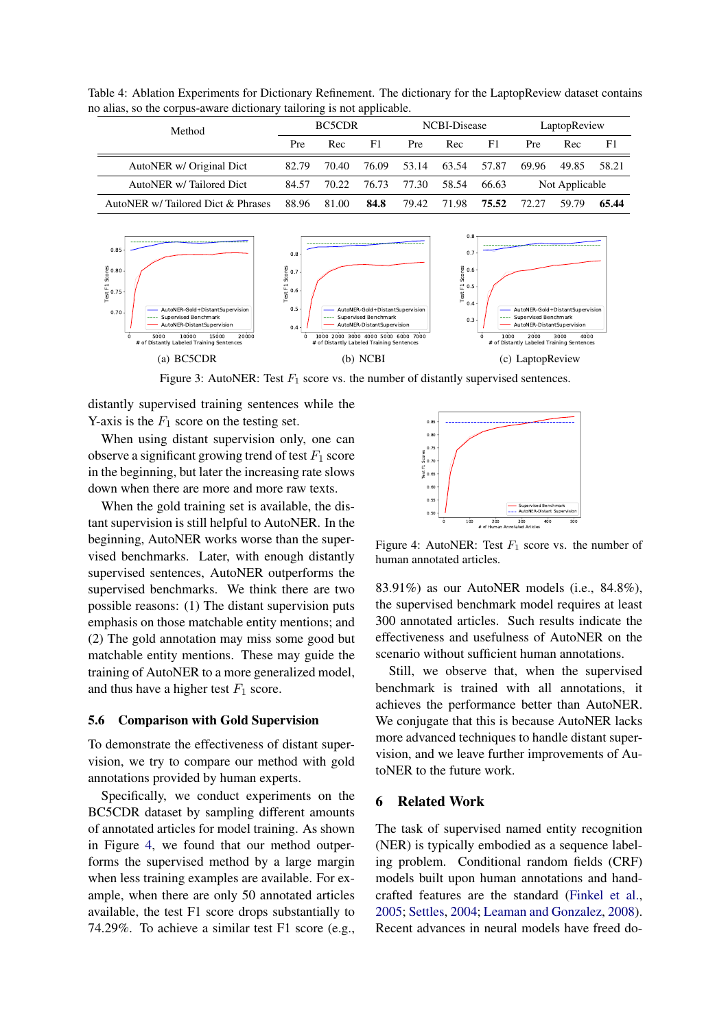<span id="page-7-0"></span>Table 4: Ablation Experiments for Dictionary Refinement. The dictionary for the LaptopReview dataset contains no alias, so the corpus-aware dictionary tailoring is not applicable.

| Method                             | BC5CDR |       | NCBI-Disease |       |       | LaptopReview |                |       |       |
|------------------------------------|--------|-------|--------------|-------|-------|--------------|----------------|-------|-------|
|                                    | Pre    | Rec   | F1.          | Pre.  | Rec   | F1           | <b>Pre</b>     | Rec   | F1    |
| AutoNER w/ Original Dict           | 82.79  | 70.40 | 76.09        | 53.14 | 63.54 | 57.87        | 69.96          | 49.85 | 58.21 |
| AutoNER w/Tailored Dict            | 84.57  | 70.22 | 76.73        | 77.30 | 58.54 | 66.63        | Not Applicable |       |       |
| AutoNER w/ Tailored Dict & Phrases | 88.96  | 81.00 | 84.8         | 79.42 | 71.98 | 75.52        | 72.27          | 59.79 | 65.44 |



<span id="page-7-1"></span>Figure 3: AutoNER: Test  $F_1$  score vs. the number of distantly supervised sentences.

distantly supervised training sentences while the Y-axis is the  $F_1$  score on the testing set.

When using distant supervision only, one can observe a significant growing trend of test  $F_1$  score in the beginning, but later the increasing rate slows down when there are more and more raw texts.

When the gold training set is available, the distant supervision is still helpful to AutoNER. In the beginning, AutoNER works worse than the supervised benchmarks. Later, with enough distantly supervised sentences, AutoNER outperforms the supervised benchmarks. We think there are two possible reasons: (1) The distant supervision puts emphasis on those matchable entity mentions; and (2) The gold annotation may miss some good but matchable entity mentions. These may guide the training of AutoNER to a more generalized model, and thus have a higher test  $F_1$  score.

#### 5.6 Comparison with Gold Supervision

To demonstrate the effectiveness of distant supervision, we try to compare our method with gold annotations provided by human experts.

Specifically, we conduct experiments on the BC5CDR dataset by sampling different amounts of annotated articles for model training. As shown in Figure [4,](#page-7-2) we found that our method outperforms the supervised method by a large margin when less training examples are available. For example, when there are only 50 annotated articles available, the test F1 score drops substantially to 74.29%. To achieve a similar test F1 score (e.g.,



<span id="page-7-2"></span>Figure 4: AutoNER: Test  $F_1$  score vs. the number of human annotated articles.

83.91%) as our AutoNER models (i.e., 84.8%), the supervised benchmark model requires at least 300 annotated articles. Such results indicate the effectiveness and usefulness of AutoNER on the scenario without sufficient human annotations.

Still, we observe that, when the supervised benchmark is trained with all annotations, it achieves the performance better than AutoNER. We conjugate that this is because AutoNER lacks more advanced techniques to handle distant supervision, and we leave further improvements of AutoNER to the future work.

#### 6 Related Work

The task of supervised named entity recognition (NER) is typically embodied as a sequence labeling problem. Conditional random fields (CRF) models built upon human annotations and handcrafted features are the standard [\(Finkel et al.,](#page-9-3) [2005;](#page-9-3) [Settles,](#page-10-3) [2004;](#page-10-3) [Leaman and Gonzalez,](#page-9-16) [2008\)](#page-9-16). Recent advances in neural models have freed do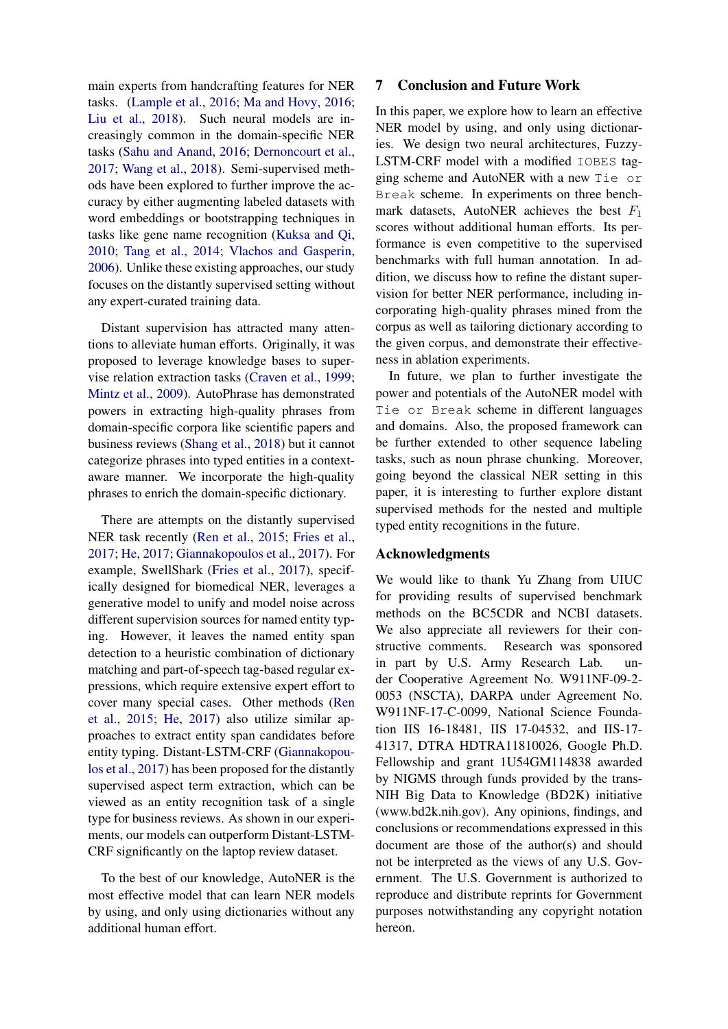main experts from handcrafting features for NER tasks. [\(Lample et al.,](#page-9-2) [2016;](#page-9-2) [Ma and Hovy,](#page-9-1) [2016;](#page-9-1) [Liu et al.,](#page-9-0) [2018\)](#page-9-0). Such neural models are increasingly common in the domain-specific NER tasks [\(Sahu and Anand,](#page-9-17) [2016;](#page-9-17) [Dernoncourt et al.,](#page-9-18) [2017;](#page-9-18) [Wang et al.,](#page-10-2) [2018\)](#page-10-2). Semi-supervised methods have been explored to further improve the accuracy by either augmenting labeled datasets with word embeddings or bootstrapping techniques in tasks like gene name recognition [\(Kuksa and Qi,](#page-9-19) [2010;](#page-9-19) [Tang et al.,](#page-10-4) [2014;](#page-10-4) [Vlachos and Gasperin,](#page-10-5) [2006\)](#page-10-5). Unlike these existing approaches, our study focuses on the distantly supervised setting without any expert-curated training data.

Distant supervision has attracted many attentions to alleviate human efforts. Originally, it was proposed to leverage knowledge bases to supervise relation extraction tasks [\(Craven et al.,](#page-9-20) [1999;](#page-9-20) [Mintz et al.,](#page-9-8) [2009\)](#page-9-8). AutoPhrase has demonstrated powers in extracting high-quality phrases from domain-specific corpora like scientific papers and business reviews [\(Shang et al.,](#page-10-0) [2018\)](#page-10-0) but it cannot categorize phrases into typed entities in a contextaware manner. We incorporate the high-quality phrases to enrich the domain-specific dictionary.

There are attempts on the distantly supervised NER task recently [\(Ren et al.,](#page-9-4) [2015;](#page-9-4) [Fries et al.,](#page-9-5) [2017;](#page-9-5) [He,](#page-9-6) [2017;](#page-9-6) [Giannakopoulos et al.,](#page-9-7) [2017\)](#page-9-7). For example, SwellShark [\(Fries et al.,](#page-9-5) [2017\)](#page-9-5), specifically designed for biomedical NER, leverages a generative model to unify and model noise across different supervision sources for named entity typing. However, it leaves the named entity span detection to a heuristic combination of dictionary matching and part-of-speech tag-based regular expressions, which require extensive expert effort to cover many special cases. Other methods [\(Ren](#page-9-4) [et al.,](#page-9-4) [2015;](#page-9-4) [He,](#page-9-6) [2017\)](#page-9-6) also utilize similar approaches to extract entity span candidates before entity typing. Distant-LSTM-CRF [\(Giannakopou](#page-9-7)[los et al.,](#page-9-7) [2017\)](#page-9-7) has been proposed for the distantly supervised aspect term extraction, which can be viewed as an entity recognition task of a single type for business reviews. As shown in our experiments, our models can outperform Distant-LSTM-CRF significantly on the laptop review dataset.

To the best of our knowledge, AutoNER is the most effective model that can learn NER models by using, and only using dictionaries without any additional human effort.

## 7 Conclusion and Future Work

In this paper, we explore how to learn an effective NER model by using, and only using dictionaries. We design two neural architectures, Fuzzy-LSTM-CRF model with a modified IOBES tagging scheme and AutoNER with a new Tie or Break scheme. In experiments on three benchmark datasets, AutoNER achieves the best  $F_1$ scores without additional human efforts. Its performance is even competitive to the supervised benchmarks with full human annotation. In addition, we discuss how to refine the distant supervision for better NER performance, including incorporating high-quality phrases mined from the corpus as well as tailoring dictionary according to the given corpus, and demonstrate their effectiveness in ablation experiments.

In future, we plan to further investigate the power and potentials of the AutoNER model with Tie or Break scheme in different languages and domains. Also, the proposed framework can be further extended to other sequence labeling tasks, such as noun phrase chunking. Moreover, going beyond the classical NER setting in this paper, it is interesting to further explore distant supervised methods for the nested and multiple typed entity recognitions in the future.

## Acknowledgments

We would like to thank Yu Zhang from UIUC for providing results of supervised benchmark methods on the BC5CDR and NCBI datasets. We also appreciate all reviewers for their constructive comments. Research was sponsored in part by U.S. Army Research Lab. under Cooperative Agreement No. W911NF-09-2- 0053 (NSCTA), DARPA under Agreement No. W911NF-17-C-0099, National Science Foundation IIS 16-18481, IIS 17-04532, and IIS-17- 41317, DTRA HDTRA11810026, Google Ph.D. Fellowship and grant 1U54GM114838 awarded by NIGMS through funds provided by the trans-NIH Big Data to Knowledge (BD2K) initiative (www.bd2k.nih.gov). Any opinions, findings, and conclusions or recommendations expressed in this document are those of the author(s) and should not be interpreted as the views of any U.S. Government. The U.S. Government is authorized to reproduce and distribute reprints for Government purposes notwithstanding any copyright notation hereon.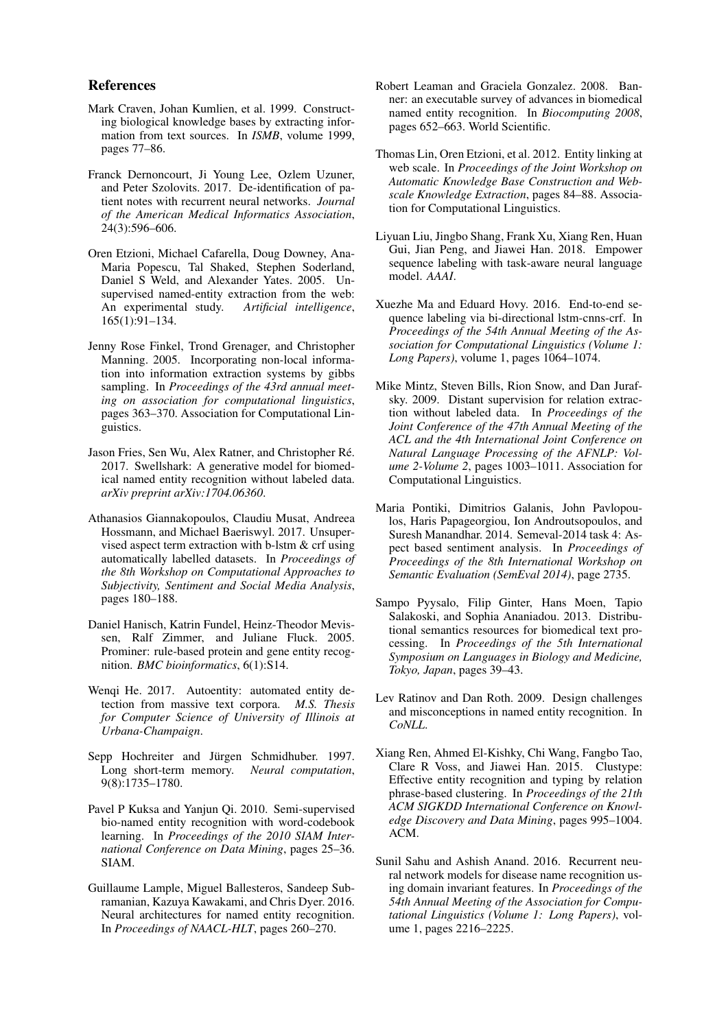## References

- <span id="page-9-20"></span>Mark Craven, Johan Kumlien, et al. 1999. Constructing biological knowledge bases by extracting information from text sources. In *ISMB*, volume 1999, pages 77–86.
- <span id="page-9-18"></span>Franck Dernoncourt, Ji Young Lee, Ozlem Uzuner, and Peter Szolovits. 2017. De-identification of patient notes with recurrent neural networks. *Journal of the American Medical Informatics Association*, 24(3):596–606.
- <span id="page-9-10"></span>Oren Etzioni, Michael Cafarella, Doug Downey, Ana-Maria Popescu, Tal Shaked, Stephen Soderland, Daniel S Weld, and Alexander Yates. 2005. Unsupervised named-entity extraction from the web: An experimental study. *Artificial intelligence*, 165(1):91–134.
- <span id="page-9-3"></span>Jenny Rose Finkel, Trond Grenager, and Christopher Manning. 2005. Incorporating non-local information into information extraction systems by gibbs sampling. In *Proceedings of the 43rd annual meeting on association for computational linguistics*, pages 363–370. Association for Computational Linguistics.
- <span id="page-9-5"></span>Jason Fries, Sen Wu, Alex Ratner, and Christopher Ré. 2017. Swellshark: A generative model for biomedical named entity recognition without labeled data. *arXiv preprint arXiv:1704.06360*.
- <span id="page-9-7"></span>Athanasios Giannakopoulos, Claudiu Musat, Andreea Hossmann, and Michael Baeriswyl. 2017. Unsupervised aspect term extraction with b-lstm & crf using automatically labelled datasets. In *Proceedings of the 8th Workshop on Computational Approaches to Subjectivity, Sentiment and Social Media Analysis*, pages 180–188.
- <span id="page-9-11"></span>Daniel Hanisch, Katrin Fundel, Heinz-Theodor Mevissen, Ralf Zimmer, and Juliane Fluck. 2005. Prominer: rule-based protein and gene entity recognition. *BMC bioinformatics*, 6(1):S14.
- <span id="page-9-6"></span>Wenqi He. 2017. Autoentity: automated entity detection from massive text corpora. *M.S. Thesis for Computer Science of University of Illinois at Urbana-Champaign*.
- <span id="page-9-13"></span>Sepp Hochreiter and Jürgen Schmidhuber. 1997. Long short-term memory. *Neural computation*, 9(8):1735–1780.
- <span id="page-9-19"></span>Pavel P Kuksa and Yanjun Qi. 2010. Semi-supervised bio-named entity recognition with word-codebook learning. In *Proceedings of the 2010 SIAM International Conference on Data Mining*, pages 25–36. SIAM.
- <span id="page-9-2"></span>Guillaume Lample, Miguel Ballesteros, Sandeep Subramanian, Kazuya Kawakami, and Chris Dyer. 2016. Neural architectures for named entity recognition. In *Proceedings of NAACL-HLT*, pages 260–270.
- <span id="page-9-16"></span>Robert Leaman and Graciela Gonzalez. 2008. Banner: an executable survey of advances in biomedical named entity recognition. In *Biocomputing 2008*, pages 652–663. World Scientific.
- <span id="page-9-12"></span>Thomas Lin, Oren Etzioni, et al. 2012. Entity linking at web scale. In *Proceedings of the Joint Workshop on Automatic Knowledge Base Construction and Webscale Knowledge Extraction*, pages 84–88. Association for Computational Linguistics.
- <span id="page-9-0"></span>Liyuan Liu, Jingbo Shang, Frank Xu, Xiang Ren, Huan Gui, Jian Peng, and Jiawei Han. 2018. Empower sequence labeling with task-aware neural language model. *AAAI*.
- <span id="page-9-1"></span>Xuezhe Ma and Eduard Hovy. 2016. End-to-end sequence labeling via bi-directional lstm-cnns-crf. In *Proceedings of the 54th Annual Meeting of the Association for Computational Linguistics (Volume 1: Long Papers)*, volume 1, pages 1064–1074.
- <span id="page-9-8"></span>Mike Mintz, Steven Bills, Rion Snow, and Dan Jurafsky. 2009. Distant supervision for relation extraction without labeled data. In *Proceedings of the Joint Conference of the 47th Annual Meeting of the ACL and the 4th International Joint Conference on Natural Language Processing of the AFNLP: Volume 2-Volume 2*, pages 1003–1011. Association for Computational Linguistics.
- <span id="page-9-14"></span>Maria Pontiki, Dimitrios Galanis, John Pavlopoulos, Haris Papageorgiou, Ion Androutsopoulos, and Suresh Manandhar. 2014. Semeval-2014 task 4: Aspect based sentiment analysis. In *Proceedings of Proceedings of the 8th International Workshop on Semantic Evaluation (SemEval 2014)*, page 2735.
- <span id="page-9-15"></span>Sampo Pyysalo, Filip Ginter, Hans Moen, Tapio Salakoski, and Sophia Ananiadou. 2013. Distributional semantics resources for biomedical text processing. In *Proceedings of the 5th International Symposium on Languages in Biology and Medicine, Tokyo, Japan*, pages 39–43.
- <span id="page-9-9"></span>Lev Ratinov and Dan Roth. 2009. Design challenges and misconceptions in named entity recognition. In *CoNLL*.
- <span id="page-9-4"></span>Xiang Ren, Ahmed El-Kishky, Chi Wang, Fangbo Tao, Clare R Voss, and Jiawei Han. 2015. Clustype: Effective entity recognition and typing by relation phrase-based clustering. In *Proceedings of the 21th ACM SIGKDD International Conference on Knowledge Discovery and Data Mining*, pages 995–1004. ACM.
- <span id="page-9-17"></span>Sunil Sahu and Ashish Anand. 2016. Recurrent neural network models for disease name recognition using domain invariant features. In *Proceedings of the 54th Annual Meeting of the Association for Computational Linguistics (Volume 1: Long Papers)*, volume 1, pages 2216–2225.